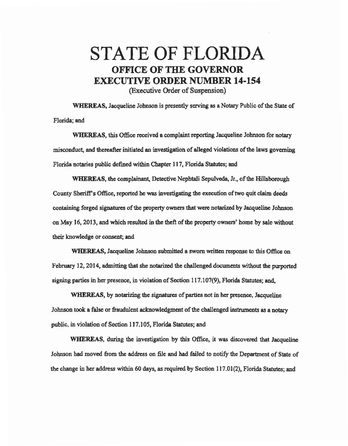## STATE OF FLORIDA OFFICE OF THE GOVERNOR EXECUTIVE ORDER NUMBER 14-154

(Executive Order of Suspension)

WHEREAS, Jacqueline Johnson is presently serving as a Notary Public of the State of Florida; and

WHEREAS, this Office received a complaint reporting Jacqueline Johnson for notary misconduct, and thereafter initiated an investigation of alleged violations of the laws governing Florida notaries public defined within Chapter 117, Florida Statutes; and

WHEREAS, the complainant, Detective Nephtali Sepulveda, Jr., of the Hillsborough County Sheriff's Office, reported he was investigating the execution of two quit claim deeds containing forged signatures of the property owners that were notarized by Jacqueline 1ohnson on May 16, 2013, and which resulted in the theft of the property owners' home by sale without their knowledge or consent; and

WHEREAS, Jacqueline Johnson submitted a sworn written response to this Office on February 12, 2014, admitting that she notarized the challenged documents without the purported signing parties in her presence, in violation of Section 117 .107(9), Florida Statutes; and.

WHEREAS, by notarizing the signatures of parties not in her presence. Jacqueline Johnson took a false or fraudulent acknowledgment of the challenged instruments as a notary public, in violation of Section 117.105, Florida Statutes; and

WHEREAS, during the investigation by this Office, it was discovered that Jacqueline Johnson had moved from the address on file and had failed to notify the Department of State of the change in her address within 60 days, as required by Section 117.01(2), Florida Statutes; and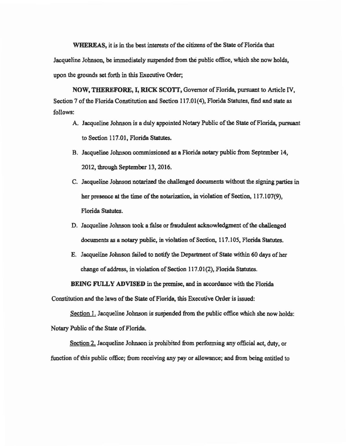WHEREAS, it is in the best interests of the citizens of the State of Florida that Jacqueline Johnson, be immediately suspended from the public office, which she now holds, upon the grounds set forth in this Executive Order;

NOW, THEREFORE, I, RICK SCOIT, Governor of Florida, pursuant to Article IV, Section 7 of the Florida Constitution and Section 117.01(4), Florida Statutes, find and state as follows:

- A. Jacqueline Johnson is a duly appointed Notary Public of the State of Florida, pursuant to Section 117.01, Florida Statutes.
- B. Jacqueline Johnson commissioned as a Florida notary public from September 14, 2012, through September 13, 2016.
- C. Jacqueline Johnson notarized the challenged documents without the signing parties in her presence at the time of the notarization, in violation of Section, 117,107(9), Florida Statutes.
- D. Jacqueline Johnson took a false or fraudulent acknowledgment of the challenged documents as a notary public, in violation of Section, 117.105, Florida Statutes.
- E. Jacqueline Johnson failed to notify the Department of State within 60 days of her change of address, in violation of Section 117.01(2), Florida Statutes.

BEING FULLY ADVISED in the premise, and in accordance with the Florida

Constitution and the laws of the State of Florida, this Executive Order is issued:

Section 1. Jacqueline Johnson is suspended from the public office which she now holds: Notary Public of the State of Florida.

Section 2. Jacqueline Johnson is prohibited from performing any official act, duty, or function of this public office; from receiving any pay or allowance; and from being entitled to